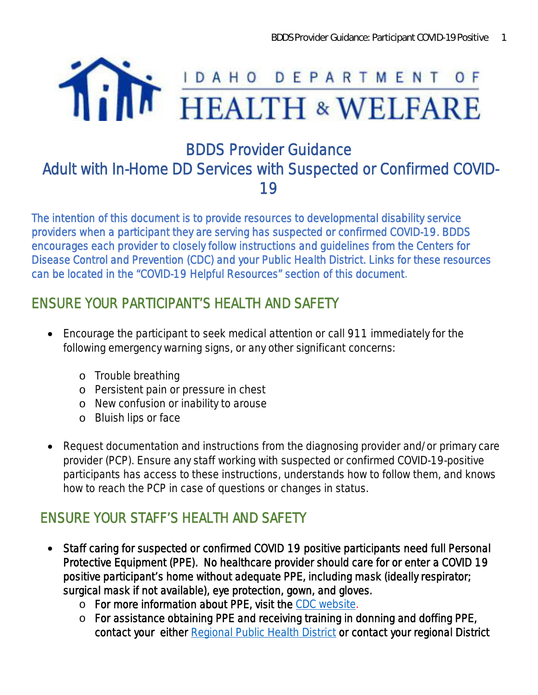

# BDDS Provider Guidance Adult with In-Home DD Services with Suspected or Confirmed COVID-19

*The intention of this document is to provide resources to developmental disability service providers when a participant they are serving has suspected or confirmed COVID-19. BDDS encourages each provider to closely follow instructions and guidelines from the Centers for Disease Control and Prevention (CDC) and your Public Health District. Links for these resources can be located in the "COVID-19 Helpful Resources" section of this document.*

## ENSURE YOUR PARTICIPANT'S HEALTH AND SAFETY

- · Encourage the participant to seek medical attention or call 911 immediately for the following emergency warning signs, or any other significant concerns:
	- o Trouble breathing
	- o Persistent pain or pressure in chest
	- o New confusion or inability to arouse
	- o Bluish lips or face
- · Request documentation and instructions from the diagnosing provider and/or primary care provider (PCP). Ensure any staff working with suspected or confirmed COVID-19-positive participants has access to these instructions, understands how to follow them, and knows how to reach the PCP in case of questions or changes in status.

## ENSURE YOUR STAFF'S HEALTH AND SAFETY

- · Staff caring for suspected or confirmed COVID 19 positive participants need full Personal Protective Equipment (PPE). No healthcare provider should care for or enter a COVID 19 positive participant's home without adequate PPE, including mask (ideally respirator; surgical mask if not available), eye protection, gown, and gloves.
	- o For more information about PPE, visit the [CDC website.](https://www.cdc.gov/coronavirus/2019-ncov/hcp/using-ppe.html)
	- o For assistance obtaining PPE and receiving training in donning and doffing PPE, contact your either [Regional Public Health District](https://coronavirus.idaho.gov/contact/) or contact your regional District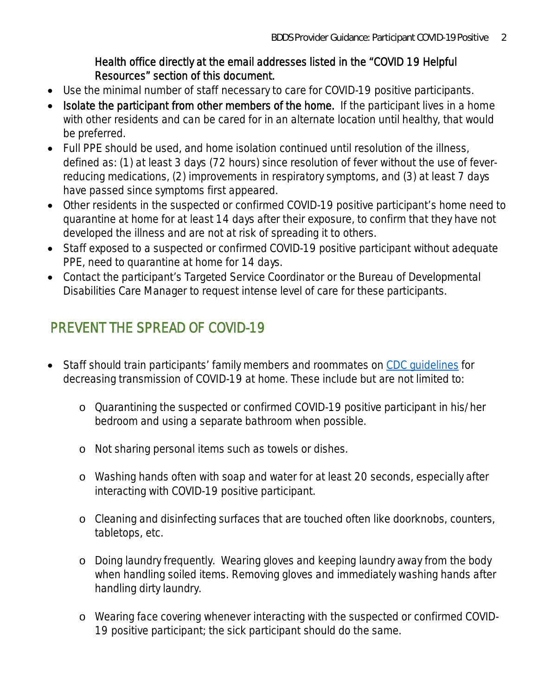#### Health office directly at the email addresses listed in the "COVID 19 Helpful Resources" section of this document.

- · Use the minimal number of staff necessary to care for COVID-19 positive participants.
- Isolate the participant from other members of the home. If the participant lives in a home with other residents and can be cared for in an alternate location until healthy, that would be preferred.
- · Full PPE should be used, and home isolation continued until resolution of the illness, defined as: (1) at least 3 days (72 hours) since resolution of fever without the use of feverreducing medications, (2) improvements in respiratory symptoms, and (3) at least 7 days have passed since symptoms first appeared.
- · Other residents in the suspected or confirmed COVID-19 positive participant's home need to quarantine at home for at least 14 days after their exposure, to confirm that they have not developed the illness and are not at risk of spreading it to others.
- · Staff exposed to a suspected or confirmed COVID-19 positive participant without adequate PPE, need to quarantine at home for 14 days.
- · Contact the participant's Targeted Service Coordinator or the Bureau of Developmental Disabilities Care Manager to request intense level of care for these participants.

## PREVENT THE SPREAD OF COVID-19

- Staff should train participants' family members and roommates on CDC quidelines for decreasing transmission of COVID-19 at home. These include but are not limited to:
	- o Quarantining the suspected or confirmed COVID-19 positive participant in his/her bedroom and using a separate bathroom when possible.
	- o Not sharing personal items such as towels or dishes.
	- o Washing hands often with soap and water for at least 20 seconds, especially after interacting with COVID-19 positive participant.
	- o Cleaning and disinfecting surfaces that are touched often like doorknobs, counters, tabletops, etc.
	- o Doing laundry frequently. Wearing gloves and keeping laundry away from the body when handling soiled items. Removing gloves and immediately washing hands after handling dirty laundry.
	- o Wearing face covering whenever interacting with the suspected or confirmed COVID-19 positive participant; the sick participant should do the same.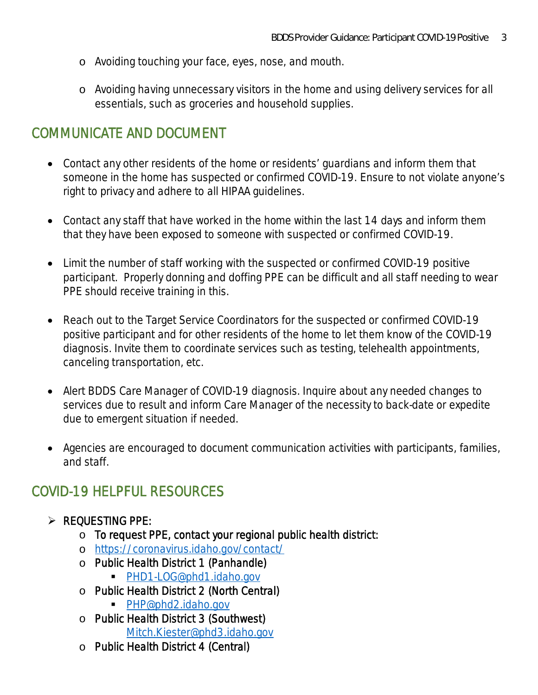- o Avoiding touching your face, eyes, nose, and mouth.
- o Avoiding having unnecessary visitors in the home and using delivery services for all essentials, such as groceries and household supplies.

### COMMUNICATE AND DOCUMENT

- · Contact any other residents of the home or residents' guardians and inform them that someone in the home has suspected or confirmed COVID-19. Ensure to not violate anyone's right to privacy and adhere to all HIPAA guidelines.
- Contact any staff that have worked in the home within the last 14 days and inform them that they have been exposed to someone with suspected or confirmed COVID-19.
- Limit the number of staff working with the suspected or confirmed COVID-19 positive participant. Properly donning and doffing PPE can be difficult and all staff needing to wear PPE should receive training in this.
- · Reach out to the Target Service Coordinators for the suspected or confirmed COVID-19 positive participant and for other residents of the home to let them know of the COVID-19 diagnosis. Invite them to coordinate services such as testing, telehealth appointments, canceling transportation, etc.
- · Alert BDDS Care Manager of COVID-19 diagnosis. Inquire about any needed changes to services due to result and inform Care Manager of the necessity to back-date or expedite due to emergent situation if needed.
- · Agencies are encouraged to document communication activities with participants, families, and staff.

## COVID-19 HELPFUL RESOURCES

- $\triangleright$  REQUESTING PPE:
	- o To request PPE, contact your regional public health district:
	- o <https://coronavirus.idaho.gov/contact/>
	- o Public Health District 1 (Panhandle)
		- [PHD1-LOG@phd1.idaho.gov](mailto:PHD1-LOG@phd1.idaho.gov)
	- o Public Health District 2 (North Central)
		- [PHP@phd2.idaho.gov](mailto:PHP@phd2.idaho.gov)
	- o Public Health District 3 (Southwest) [Mitch.Kiester@phd3.idaho.gov](mailto:Mitch.Kiester@phd3.idaho.gov)
	- o Public Health District 4 (Central)